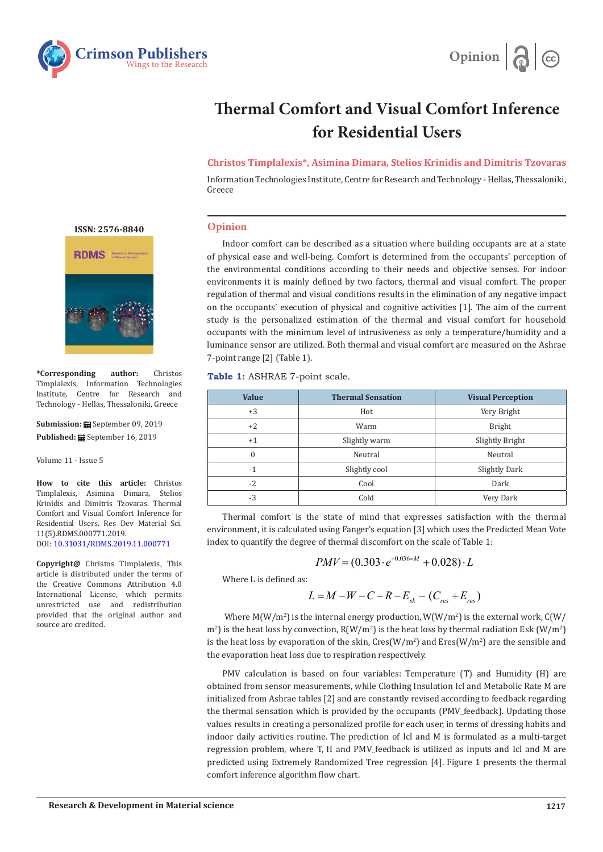



# **Thermal Comfort and Visual Comfort Inference for Residential Users**

**Christos Timplalexis\*, Asimina Dimara, Stelios Krinidis and Dimitris Tzovaras**

Information Technologies Institute, Centre for Research and Technology - Hellas, Thessaloniki, Greece

## **Opinion**

Indoor comfort can be described as a situation where building occupants are at a state of physical ease and well-being. Comfort is determined from the occupants' perception of the environmental conditions according to their needs and objective senses. For indoor environments it is mainly defined by two factors, thermal and visual comfort. The proper regulation of thermal and visual conditions results in the elimination of any negative impact on the occupants' execution of physical and cognitive activities [1]. The aim of the current study is the personalized estimation of the thermal and visual comfort for household occupants with the minimum level of intrusiveness as only a temperature/humidity and a luminance sensor are utilized. Both thermal and visual comfort are measured on the Ashrae 7-point range [2] (Table 1).

**Table 1:** ASHRAE 7-point scale.

| <b>Value</b> | <b>Thermal Sensation</b> | <b>Visual Perception</b> |
|--------------|--------------------------|--------------------------|
| $+3$         | Hot                      | Very Bright              |
| $+2$         | Warm                     | <b>Bright</b>            |
| $+1$         | Slightly warm            | Slightly Bright          |
| $\Omega$     | Neutral                  | Neutral                  |
| $-1$         | Slightly cool            | Slightly Dark            |
| $-2$         | Cool                     | Dark                     |
| $-3$         | Cold                     | Very Dark                |

Thermal comfort is the state of mind that expresses satisfaction with the thermal environment, it is calculated using Fanger's equation [3] which uses the Predicted Mean Vote index to quantify the degree of thermal discomfort on the scale of Table 1:

$$
PMV = (0.303 \cdot e^{-0.036 \times M} + 0.028) \cdot L
$$

Where L is defined as:

$$
L = M - W - C - R - E_{sk} - (C_{res} + E_{res})
$$

Where  $M(W/m^2)$  is the internal energy production,  $W(W/m^2)$  is the external work,  $C(W/m^2)$  $\text{m}^2$ ) is the heat loss by convection, R(W/m<sup>2</sup>) is the heat loss by thermal radiation Esk (W/m<sup>2</sup>) is the heat loss by evaporation of the skin,  $Cres(W/m^2)$  and  $Eres(W/m^2)$  are the sensible and the evaporation heat loss due to respiration respectively.

PMV calculation is based on four variables: Temperature (T) and Humidity (H) are obtained from sensor measurements, while Clothing Insulation Icl and Metabolic Rate M are initialized from Ashrae tables [2] and are constantly revised according to feedback regarding the thermal sensation which is provided by the occupants (PMV\_feedback). Updating those values results in creating a personalized profile for each user, in terms of dressing habits and indoor daily activities routine. The prediction of Icl and M is formulated as a multi-target regression problem, where T, H and PMV\_feedback is utilized as inputs and Icl and M are predicted using Extremely Randomized Tree regression [4]. Figure 1 presents the thermal comfort inference algorithm flow chart.

**[ISSN: 2576-8840](https://crimsonpublishers.com/rdms/index.php)**



**\*Corresponding author:** Christos Timplalexis, Information Technologies Institute, Centre for Research and Technology - Hellas, Thessaloniki, Greece

**Submission:** September 09, 2019 Published: **■** September 16, 2019

Volume 11 - Issue 5

**How to cite this article:** Christos Timplalexis, Asimina Dimara, Stelios Krinidis and Dimitris Tzovaras. Thermal Comfort and Visual Comfort Inference for Residential Users. Res Dev Material Sci. 11(5).RDMS.000771.2019. DOI: [10.31031/RDMS.2019.11.00077](http://dx.doi.org/10.31031/RDMS.2019.11.000771)1

**Copyright@** Christos Timplalexis, This article is distributed under the terms of the Creative Commons Attribution 4.0 International License, which permits unrestricted use and redistribution provided that the original author and source are credited.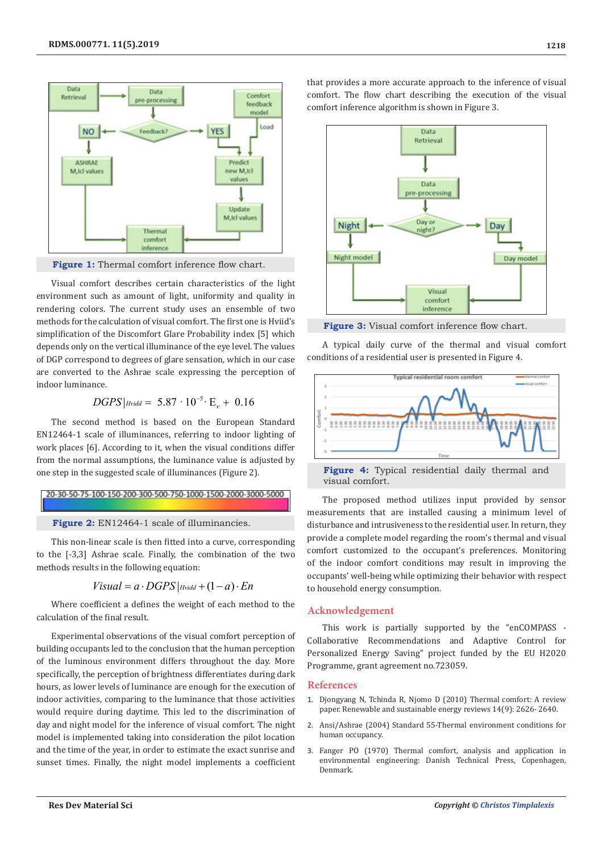

**Figure 1:** Thermal comfort inference flow chart.

Visual comfort describes certain characteristics of the light environment such as amount of light, uniformity and quality in rendering colors. The current study uses an ensemble of two methods for the calculation of visual comfort. The first one is Hviid's simplification of the Discomfort Glare Probability index [5] which depends only on the vertical illuminance of the eye level. The values of DGP correspond to degrees of glare sensation, which in our case are converted to the Ashrae scale expressing the perception of indoor luminance.

 $DGPS$   $|$  Hvidd = 5.87 ·  $10^{-5}$  ·  $E_v + 0.16$ 

The second method is based on the European Standard EN12464-1 scale of illuminances, referring to indoor lighting of work places [6]. According to it, when the visual conditions differ from the normal assumptions, the luminance value is adjusted by one step in the suggested scale of illuminances (Figure 2).

## 20-30-50-75-100-150-200-300-500-750-1000-1500-2000-3000-5000

**Figure 2:** EN12464-1 scale of illuminancies.

This non-linear scale is then fitted into a curve, corresponding to the [-3,3] Ashrae scale. Finally, the combination of the two methods results in the following equation:

$$
Visual = a \cdot DGPS|_{Hvidd} + (1 - a) \cdot En
$$

Where coefficient a defines the weight of each method to the calculation of the final result.

Experimental observations of the visual comfort perception of building occupants led to the conclusion that the human perception of the luminous environment differs throughout the day. More specifically, the perception of brightness differentiates during dark hours, as lower levels of luminance are enough for the execution of indoor activities, comparing to the luminance that those activities would require during daytime. This led to the discrimination of day and night model for the inference of visual comfort. The night model is implemented taking into consideration the pilot location and the time of the year, in order to estimate the exact sunrise and sunset times. Finally, the night model implements a coefficient

that provides a more accurate approach to the inference of visual comfort. The flow chart describing the execution of the visual comfort inference algorithm is shown in Figure 3.



Figure 3: Visual comfort inference flow chart.

A typical daily curve of the thermal and visual comfort conditions of a residential user is presented in Figure 4.



**Figure 4:** Typical residential daily thermal and visual comfort.

The proposed method utilizes input provided by sensor measurements that are installed causing a minimum level of disturbance and intrusiveness to the residential user. In return, they provide a complete model regarding the room's thermal and visual comfort customized to the occupant's preferences. Monitoring of the indoor comfort conditions may result in improving the occupants' well-being while optimizing their behavior with respect to household energy consumption.

### **Acknowledgement**

This work is partially supported by the "enCOMPASS - Collaborative Recommendations and Adaptive Control for Personalized Energy Saving" project funded by the EU H2020 Programme, grant agreement no.723059.

#### **References**

- 1. [Djongyang N, Tchinda R, Njomo D \(2010\) Thermal comfort: A review](https://www.sciencedirect.com/science/article/pii/S1364032110002200) [paper. Renewable and sustainable energy reviews 14\(9\): 2626- 2640.](https://www.sciencedirect.com/science/article/pii/S1364032110002200)
- 2. Ansi/Ashrae (2004) Standard 55-Thermal environment conditions for human occupancy.
- 3. Fanger PO (1970) Thermal comfort, analysis and application in environmental engineering: Danish Technical Press, Copenhagen, Denmark.